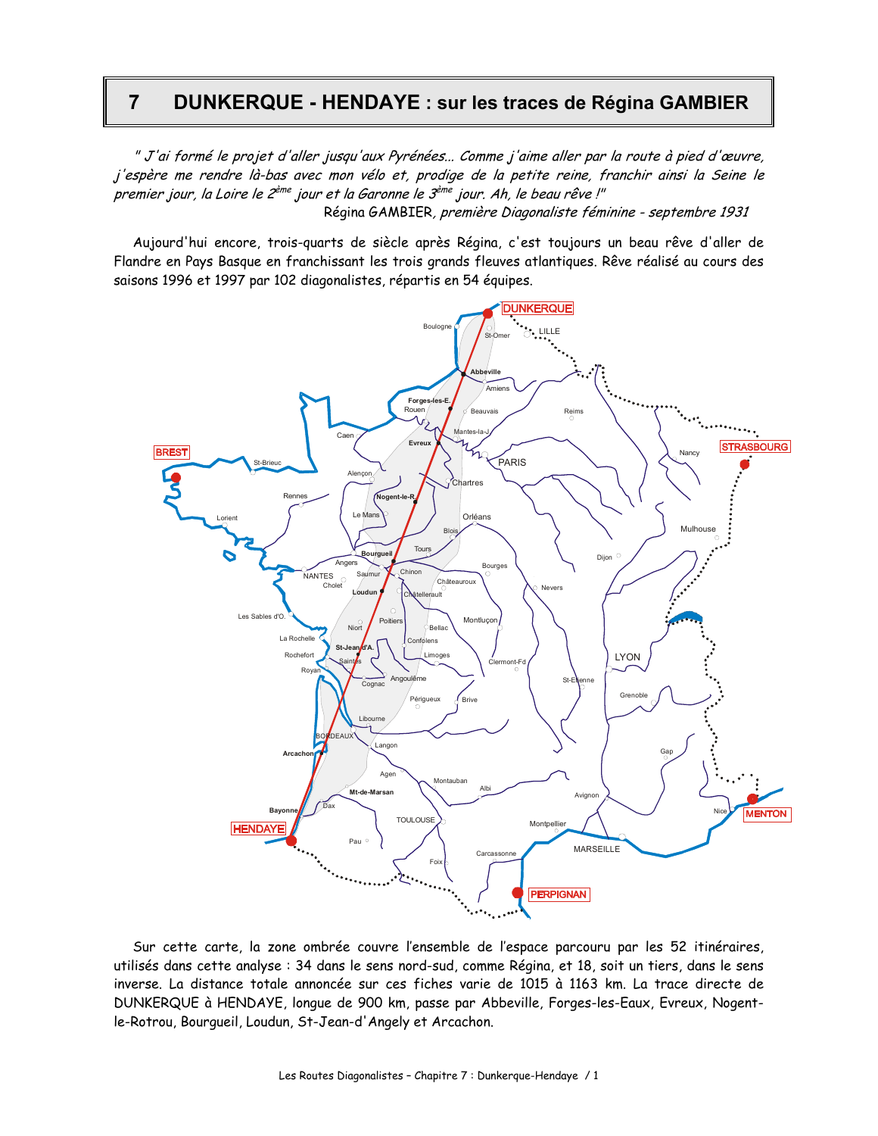#### **DUNKERQUE - HENDAYE : sur les traces de Régina GAMBIER**  $\overline{7}$

" J'ai formé le projet d'aller jusqu'aux Pyrénées... Comme j'aime aller par la route à pied d'œuvre, j'espère me rendre là-bas avec mon vélo et, prodige de la petite reine, franchir ainsi la Seine le premier jour, la Loire le 2<sup>ème</sup> jour et la Garonne le 3<sup>ème</sup> jour. Ah, le beau rêve !" Régina GAMBIER, première Diagonaliste féminine - septembre 1931

Aujourd'hui encore, trois-quarts de siècle après Régina, c'est toujours un beau rêve d'aller de Flandre en Pays Basque en franchissant les trois grands fleuves atlantiques. Rêve réalisé au cours des saisons 1996 et 1997 par 102 diagonalistes, répartis en 54 équipes.



Sur cette carte, la zone ombrée couvre l'ensemble de l'espace parcouru par les 52 itinéraires, utilisés dans cette analyse : 34 dans le sens nord-sud, comme Régina, et 18, soit un tiers, dans le sens inverse. La distance totale annoncée sur ces fiches varie de 1015 à 1163 km. La trace directe de DUNKERQUE à HENDAYE, longue de 900 km, passe par Abbeville, Forges-les-Eaux, Evreux, Nogentle-Rotrou, Bourqueil, Loudun, St-Jean-d'Angely et Arcachon.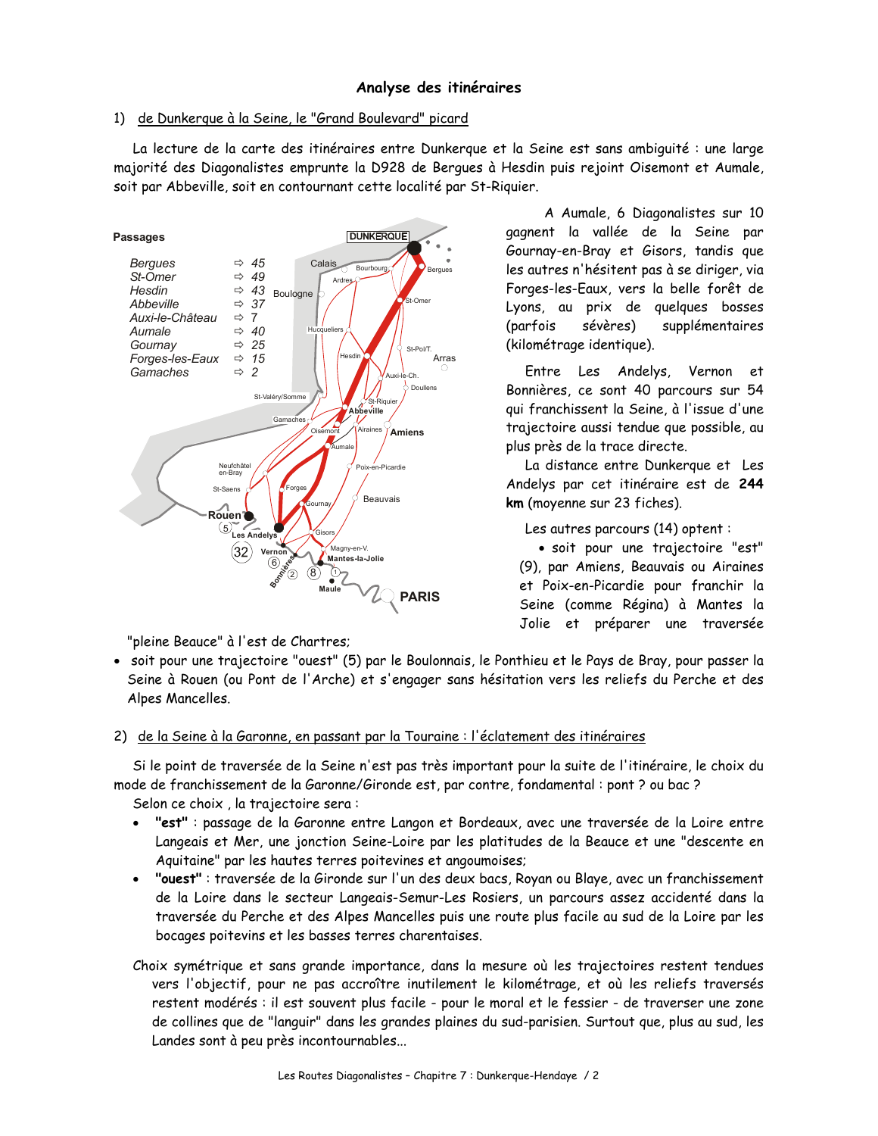# Analyse des itinéraires

# 1) de Dunkerque à la Seine, le "Grand Boulevard" picard

La lecture de la carte des itinéraires entre Dunkerque et la Seine est sans ambiguité : une large majorité des Diagonalistes emprunte la D928 de Bergues à Hesdin puis rejoint Oisemont et Aumale, soit par Abbeville, soit en contournant cette localité par St-Riquier.



A Aumale, 6 Diagonalistes sur 10 gagnent la vallée de la Seine par Gournay-en-Bray et Gisors, tandis que les autres n'hésitent pas à se diriger, via Forges-les-Eaux, vers la belle forêt de Lyons, au prix de quelques bosses (parfois sévères) supplémentaires (kilométrage identique).

Entre Les Andelys, Vernon  $e$ t Bonnières, ce sont 40 parcours sur 54 qui franchissent la Seine, à l'issue d'une trajectoire aussi tendue que possible, au plus près de la trace directe.

La distance entre Dunkerque et Les Andelys par cet itinéraire est de 244 km (moyenne sur 23 fiches).

Les autres parcours (14) optent :

· soit pour une trajectoire "est" (9), par Amiens, Beauvais ou Airaines et Poix-en-Picardie pour franchir la Seine (comme Régina) à Mantes la Jolie et préparer une traversée

"pleine Beauce" à l'est de Chartres;

· soit pour une trajectoire "ouest" (5) par le Boulonnais, le Ponthieu et le Pays de Bray, pour passer la Seine à Rouen (ou Pont de l'Arche) et s'engager sans hésitation vers les reliefs du Perche et des Alpes Mancelles.

# 2) de la Seine à la Garonne, en passant par la Touraine : l'éclatement des itinéraires

Si le point de traversée de la Seine n'est pas très important pour la suite de l'itinéraire, le choix du mode de franchissement de la Garonne/Gironde est, par contre, fondamental : pont ? ou bac ?

Selon ce choix, la trajectoire sera:

- "est" : passage de la Garonne entre Langon et Bordeaux, avec une traversée de la Loire entre Langeais et Mer, une jonction Seine-Loire par les platitudes de la Beauce et une "descente en Aquitaine" par les hautes terres poitevines et angoumoises;
- "ouest" : traversée de la Gironde sur l'un des deux bacs, Royan ou Blaye, avec un franchissement de la Loire dans le secteur Langeais-Semur-Les Rosiers, un parcours assez accidenté dans la traversée du Perche et des Alpes Mancelles puis une route plus facile au sud de la Loire par les bocages poitevins et les basses terres charentaises.
- Choix symétrique et sans grande importance, dans la mesure où les trajectoires restent tendues vers l'objectif, pour ne pas accroître inutilement le kilométrage, et où les reliefs traversés restent modérés : il est souvent plus facile - pour le moral et le fessier - de traverser une zone de collines que de "languir" dans les grandes plaines du sud-parisien. Surtout que, plus au sud, les Landes sont à peu près incontournables...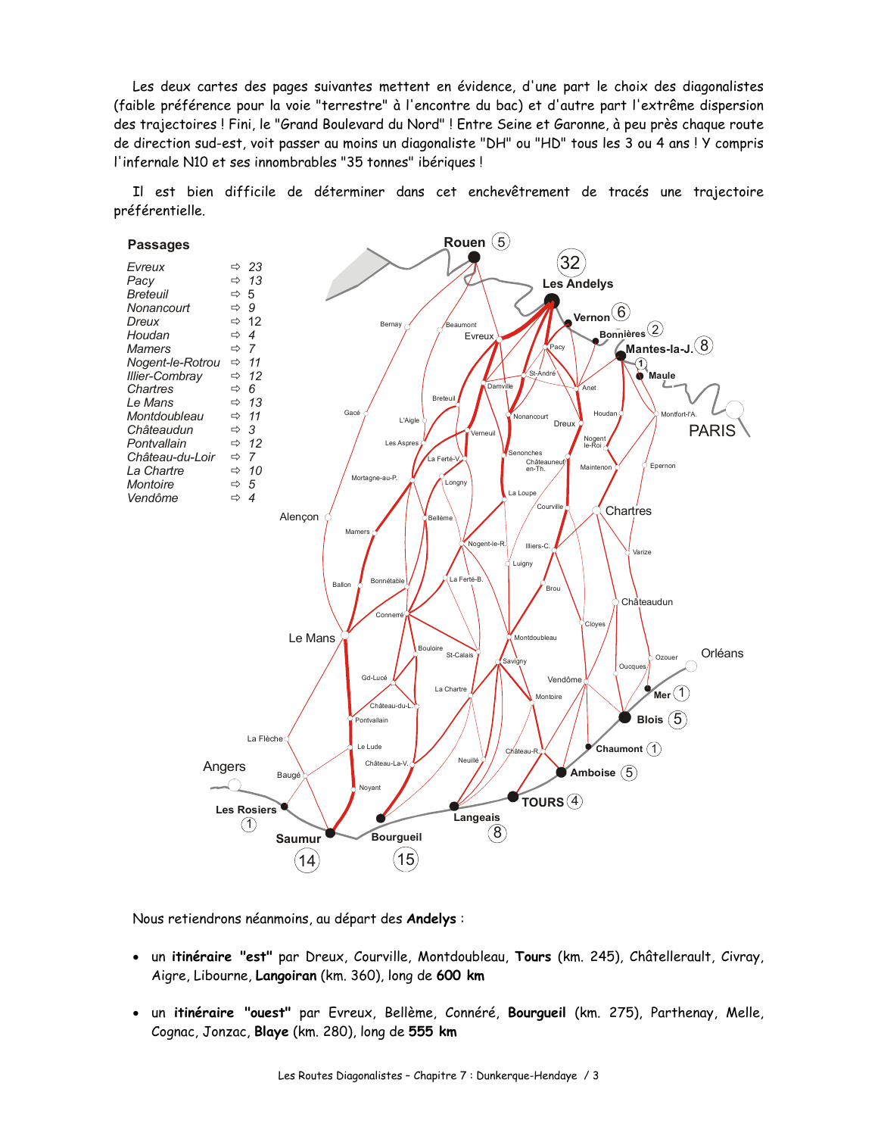Les deux cartes des pages suivantes mettent en évidence, d'une part le choix des diagonalistes (faible préférence pour la voie "terrestre" à l'encontre du bac) et d'autre part l'extrême dispersion des trajectoires! Fini, le "Grand Boulevard du Nord"! Entre Seine et Garonne, à peu près chaque route de direction sud-est, voit passer au moins un diagonaliste "DH" ou "HD" tous les 3 ou 4 ans ! Y compris l'infernale N10 et ses innombrables "35 tonnes" ibériques!

Il est bien difficile de déterminer dans cet enchevêtrement de tracés une trajectoire préférentielle.



Nous retiendrons néanmoins, au départ des Andelys :

- · un itinéraire "est" par Dreux, Courville, Montdoubleau, Tours (km. 245), Châtellerault, Civray, Aigre, Libourne, Langoiran (km. 360), long de 600 km
- · un itinéraire "ouest" par Evreux, Bellème, Connéré, Bourgueil (km. 275), Parthenay, Melle, Cognac, Jonzac, Blaye (km. 280), long de 555 km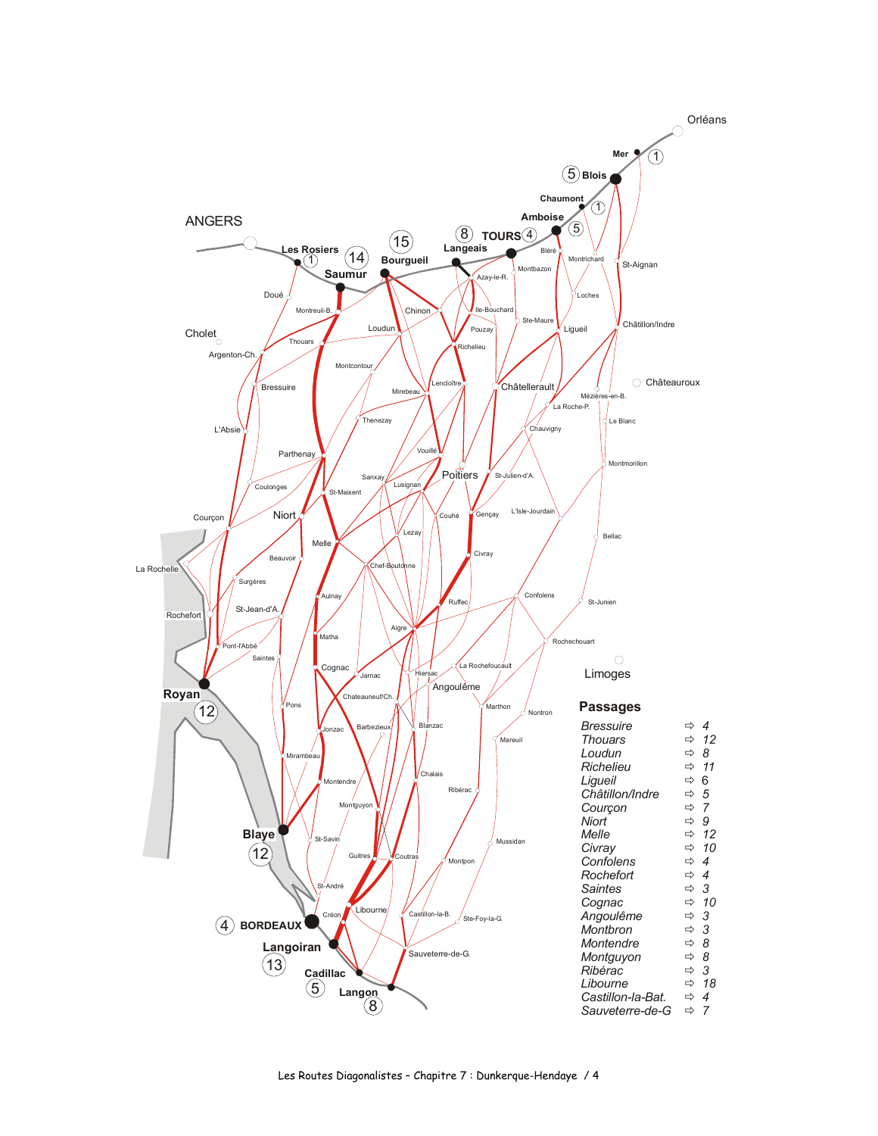

Les Routes Diagonalistes - Chapitre 7 : Dunkerque-Hendaye / 4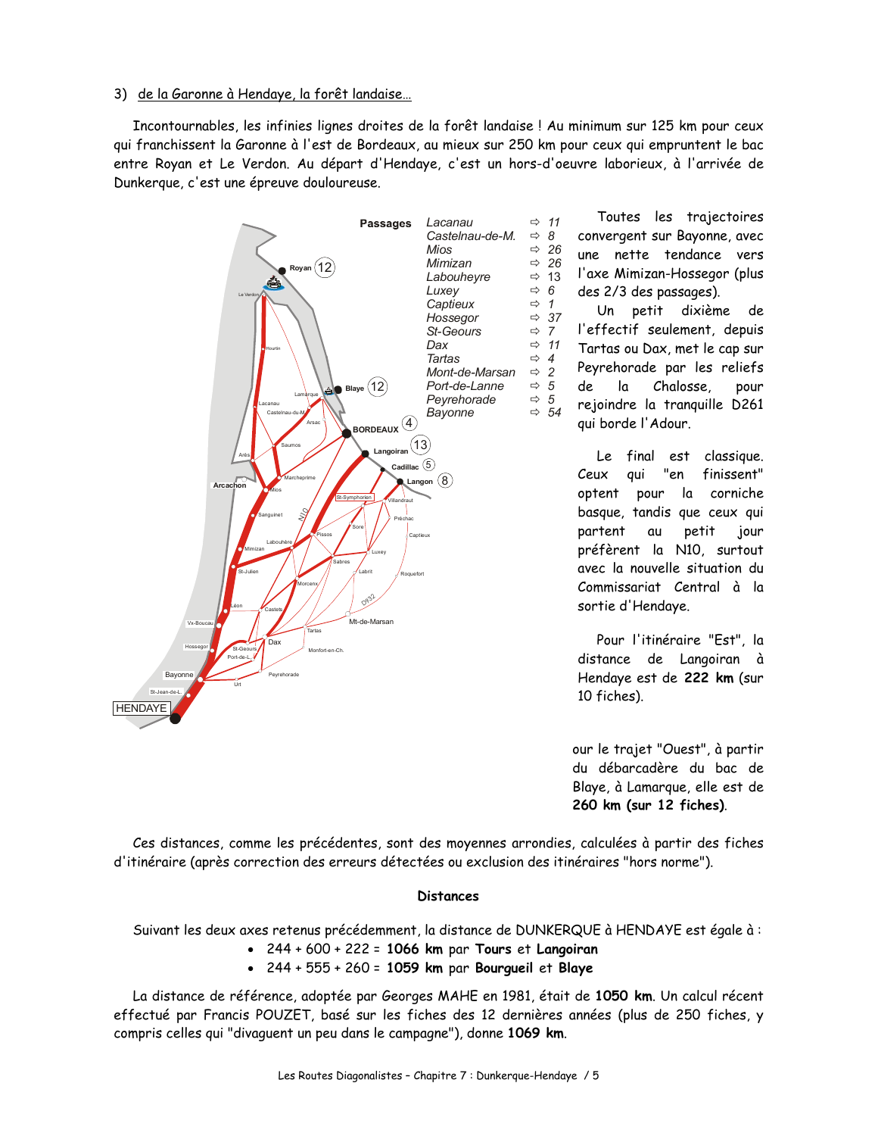# 3) de la Garonne à Hendaye, la forêt landaise...

Incontournables, les infinies lignes droites de la forêt landaise ! Au minimum sur 125 km pour ceux qui franchissent la Garonne à l'est de Bordeaux, au mieux sur 250 km pour ceux qui empruntent le bac entre Royan et Le Verdon. Au départ d'Hendaye, c'est un hors-d'oeuvre laborieux, à l'arrivée de Dunkerque, c'est une épreuve douloureuse.



Toutes les trajectoires convergent sur Bayonne, avec une nette tendance vers l'axe Mimizan-Hossegor (plus des 2/3 des passages).

Un petit dixième de l'effectif seulement, depuis Tartas ou Dax, met le cap sur Peyrehorade par les reliefs de la Chalosse. pour rejoindre la tranquille D261 qui borde l'Adour.

Le final est classique. "en finissent" Ceux qui pour la corniche optent basque, tandis que ceux qui partent αu petit jour préfèrent la N10, surtout avec la nouvelle situation du Commissariat Central à la sortie d'Hendaye.

Pour l'itinéraire "Est", la distance de Langoiran à Hendaye est de 222 km (sur 10 fiches).

our le trajet "Ouest", à partir du débarcadère du bac de Blaye, à Lamarque, elle est de 260 km (sur 12 fiches).

Ces distances, comme les précédentes, sont des moyennes arrondies, calculées à partir des fiches d'itinéraire (après correction des erreurs détectées ou exclusion des itinéraires "hors norme").

### **Distances**

Suivant les deux axes retenus précédemment, la distance de DUNKERQUE à HENDAYE est égale à :

- $244 + 600 + 222 = 1066$  km par Tours et Langoiran
- $\bullet$  244 + 555 + 260 = 1059 km par Bourgueil et Blaye

La distance de référence, adoptée par Georges MAHE en 1981, était de 1050 km. Un calcul récent effectué par Francis POUZET, basé sur les fiches des 12 dernières années (plus de 250 fiches, y compris celles qui "divaguent un peu dans le campagne"), donne 1069 km.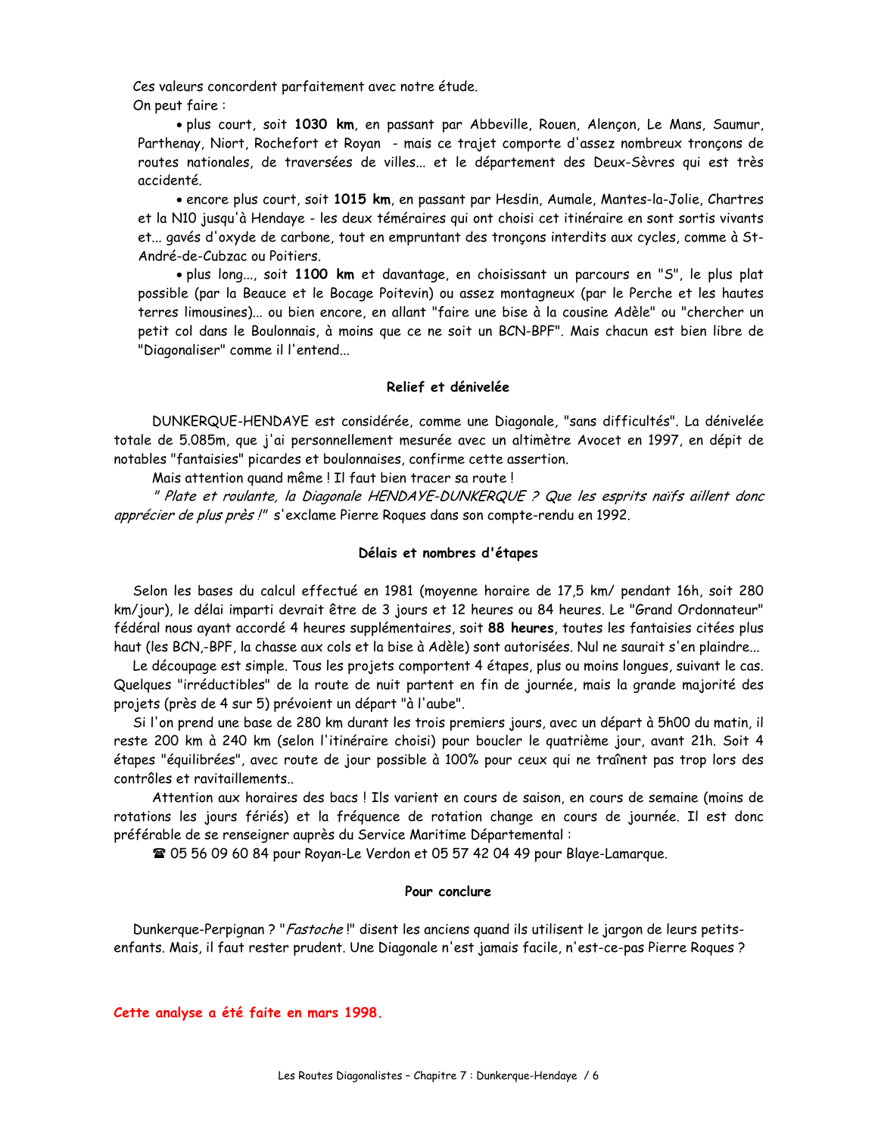Ces valeurs concordent parfaitement avec notre étude. On peut faire:

. plus court, soit 1030 km, en passant par Abbeville, Rouen, Alençon, Le Mans, Saumur, Parthenay, Niort, Rochefort et Royan - mais ce trajet comporte d'assez nombreux tronçons de routes nationales, de traversées de villes... et le département des Deux-Sèvres qui est très accidenté.

• encore plus court, soit 1015 km, en passant par Hesdin, Aumale, Mantes-la-Jolie, Chartres et la N10 jusqu'à Hendaye - les deux téméraires qui ont choisi cet itinéraire en sont sortis vivants et... gavés d'oxyde de carbone, tout en empruntant des tronçons interdits aux cycles, comme à St-André-de-Cubzac ou Poitiers.

· plus long..., soit 1100 km et davantage, en choisissant un parcours en "S", le plus plat possible (par la Beauce et le Bocage Poitevin) ou assez montagneux (par le Perche et les hautes terres limousines)... ou bien encore, en allant "faire une bise à la cousine Adèle" ou "chercher un petit col dans le Boulonnais, à moins que ce ne soit un BCN-BPF". Mais chacun est bien libre de "Diagonaliser" comme il l'entend...

# Relief et dénivelée

DUNKERQUE-HENDAYE est considérée, comme une Diagonale, "sans difficultés". La dénivelée totale de 5.085m, que j'ai personnellement mesurée avec un altimètre Avocet en 1997, en dépit de notables "fantaisies" picardes et boulonnaises, confirme cette assertion.

Mais attention quand même! Il faut bien tracer sa route!

" Plate et roulante, la Diagonale HENDAYE-DUNKERQUE ? Que les esprits naïfs aillent donc apprécier de plus près !" s'exclame Pierre Roques dans son compte-rendu en 1992.

#### Délais et nombres d'étapes

Selon les bases du calcul effectué en 1981 (moyenne horaire de 17,5 km/ pendant 16h, soit 280 km/jour), le délai imparti devrait être de 3 jours et 12 heures ou 84 heures. Le "Grand Ordonnateur" fédéral nous ayant accordé 4 heures supplémentaires, soit 88 heures, toutes les fantaisies citées plus haut (les BCN,-BPF, la chasse aux cols et la bise à Adèle) sont autorisées. Nul ne saurait s'en plaindre...

Le découpage est simple. Tous les projets comportent 4 étapes, plus ou moins longues, suivant le cas. Quelques "irréductibles" de la route de nuit partent en fin de journée, mais la grande majorité des projets (près de 4 sur 5) prévoient un départ "à l'aube".

Si l'on prend une base de 280 km durant les trois premiers jours, avec un départ à 5h00 du matin, il reste 200 km à 240 km (selon l'itinéraire choisi) pour boucler le quatrième jour, avant 21h. Soit 4 étapes "équilibrées", avec route de jour possible à 100% pour ceux qui ne traînent pas trop lors des contrôles et ravitaillements.

Attention aux horaires des bacs ! Ils varient en cours de saison, en cours de semaine (moins de rotations les jours fériés) et la fréquence de rotation change en cours de journée. Il est donc préférable de se renseigner auprès du Service Maritime Départemental :

**雪 05 56 09 60 84 pour Royan-Le Verdon et 05 57 42 04 49 pour Blaye-Lamargue.** 

### Pour conclure

Dunkerque-Perpignan ? "Fastoche!" disent les anciens quand ils utilisent le jargon de leurs petitsenfants. Mais, il faut rester prudent. Une Diagonale n'est jamais facile, n'est-ce-pas Pierre Roques ?

Cette analyse a été faite en mars 1998.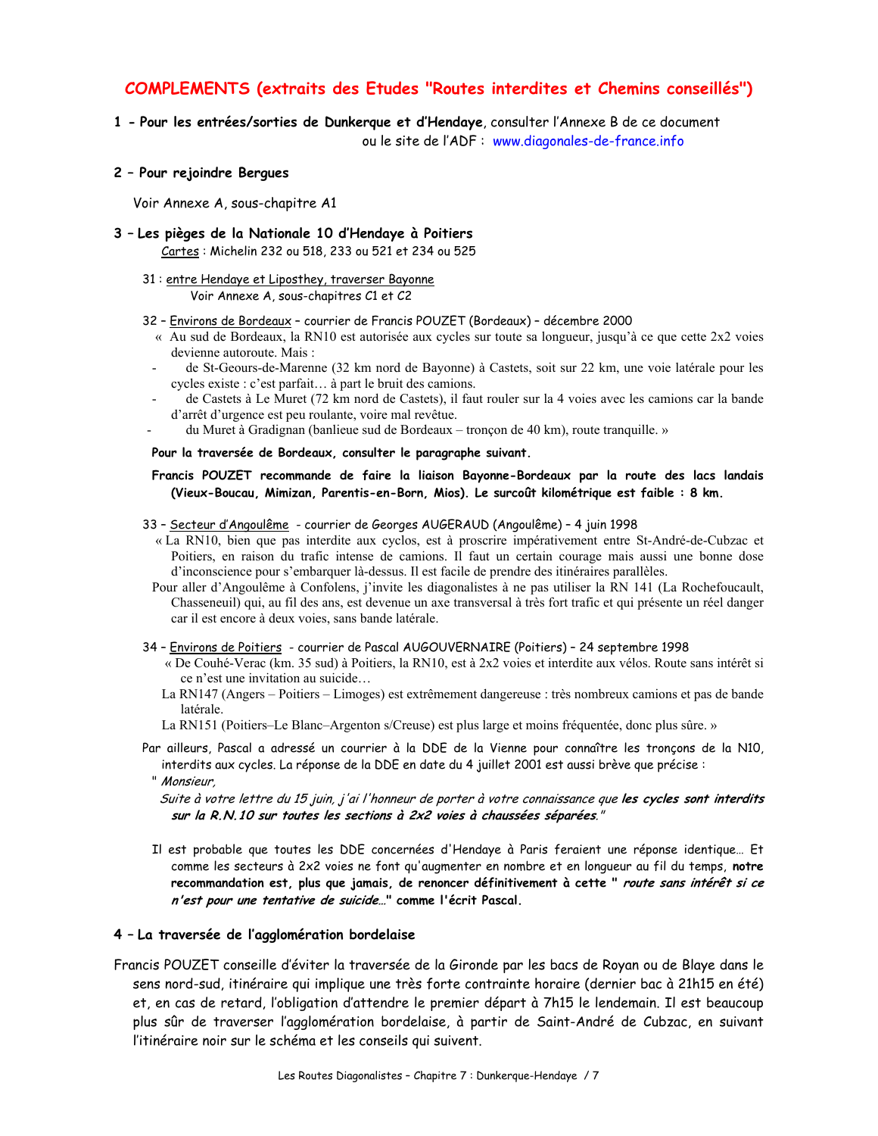# COMPLEMENTS (extraits des Etudes "Routes interdites et Chemins conseillés")

1 - Pour les entrées/sorties de Dunkerque et d'Hendaye, consulter l'Annexe B de ce document

ou le site de l'ADF : www.diagonales-de-france.info

### 2 - Pour rejoindre Bergues

Voir Annexe A, sous-chapitre A1

# 3 - Les pièges de la Nationale 10 d'Hendaye à Poitiers

Cartes : Michelin 232 ou 518, 233 ou 521 et 234 ou 525

# 31: entre Hendaye et Liposthey, traverser Bayonne

Voir Annexe A, sous-chapitres C1 et C2

- 32 Environs de Bordeaux courrier de Francis POUZET (Bordeaux) décembre 2000
	- « Au sud de Bordeaux, la RN10 est autorisée aux cycles sur toute sa longueur, jusqu'à ce que cette 2x2 voies devienne autoroute. Mais:
	- de St-Geours-de-Marenne (32 km nord de Bayonne) à Castets, soit sur 22 km, une voie latérale pour les cycles existe : c'est parfait... à part le bruit des camions.
	- de Castets à Le Muret (72 km nord de Castets), il faut rouler sur la 4 voies avec les camions car la bande d'arrêt d'urgence est peu roulante, voire mal revêtue.
	- du Muret à Gradignan (banlieue sud de Bordeaux tronçon de 40 km), route tranquille. »

Pour la traversée de Bordeaux, consulter le paragraphe suivant.

### Francis POUZET recommande de faire la liaison Bayonne-Bordeaux par la route des lacs landais (Vieux-Boucau, Mimizan, Parentis-en-Born, Mios). Le surcoût kilométrique est faible : 8 km.

### 33 - Secteur d'Angoulême - courrier de Georges AUGERAUD (Angoulême) - 4 juin 1998

- « La RN10, bien que pas interdite aux cyclos, est à proscrire impérativement entre St-André-de-Cubzac et Poitiers, en raison du trafic intense de camions. Il faut un certain courage mais aussi une bonne dose d'inconscience pour s'embarquer là-dessus. Il est facile de prendre des itinéraires parallèles.
- Pour aller d'Angoulême à Confolens, j'invite les diagonalistes à ne pas utiliser la RN 141 (La Rochefoucault, Chasseneuil) qui, au fil des ans, est devenue un axe transversal à très fort trafic et qui présente un réel danger car il est encore à deux voies, sans bande latérale.
- 34 Environs de Poitiers courrier de Pascal AUGOUVERNAIRE (Poitiers) 24 septembre 1998
	- « De Couhé-Verac (km. 35 sud) à Poitiers, la RN10, est à 2x2 voies et interdite aux vélos. Route sans intérêt si ce n'est une invitation au suicide...
	- La RN147 (Angers Poitiers Limoges) est extrêmement dangereuse : très nombreux camions et pas de bande latérale.
	- La RN151 (Poitiers–Le Blanc–Argenton s/Creuse) est plus large et moins fréquentée, donc plus sûre. »
- Par ailleurs, Pascal a adressé un courrier à la DDE de la Vienne pour connaître les tronçons de la N10, interdits aux cycles. La réponse de la DDE en date du 4 juillet 2001 est aussi brève que précise :

### " Monsieur,

- Suite à votre lettre du 15 juin, j'ai l'honneur de porter à votre connaissance que les cycles sont interdits sur la R.N.10 sur toutes les sections à 2x2 voies à chaussées séparées."
- Il est probable que toutes les DDE concernées d'Hendaye à Paris feraient une réponse identique... Et comme les secteurs à 2x2 voies ne font qu'augmenter en nombre et en longueur au fil du temps, notre recommandation est, plus que jamais, de renoncer définitivement à cette " route sans intérêt si ce n'est pour une tentative de suicide..." comme l'écrit Pascal.

### 4 - La traversée de l'agglomération bordelaise

Francis POUZET conseille d'éviter la traversée de la Gironde par les bacs de Royan ou de Blaye dans le sens nord-sud, itinéraire qui implique une très forte contrainte horaire (dernier bac à 21h15 en été) et, en cas de retard, l'obligation d'attendre le premier départ à 7h15 le lendemain. Il est beaucoup plus sûr de traverser l'agglomération bordelaise, à partir de Saint-André de Cubzac, en suivant l'itinéraire noir sur le schéma et les conseils qui suivent.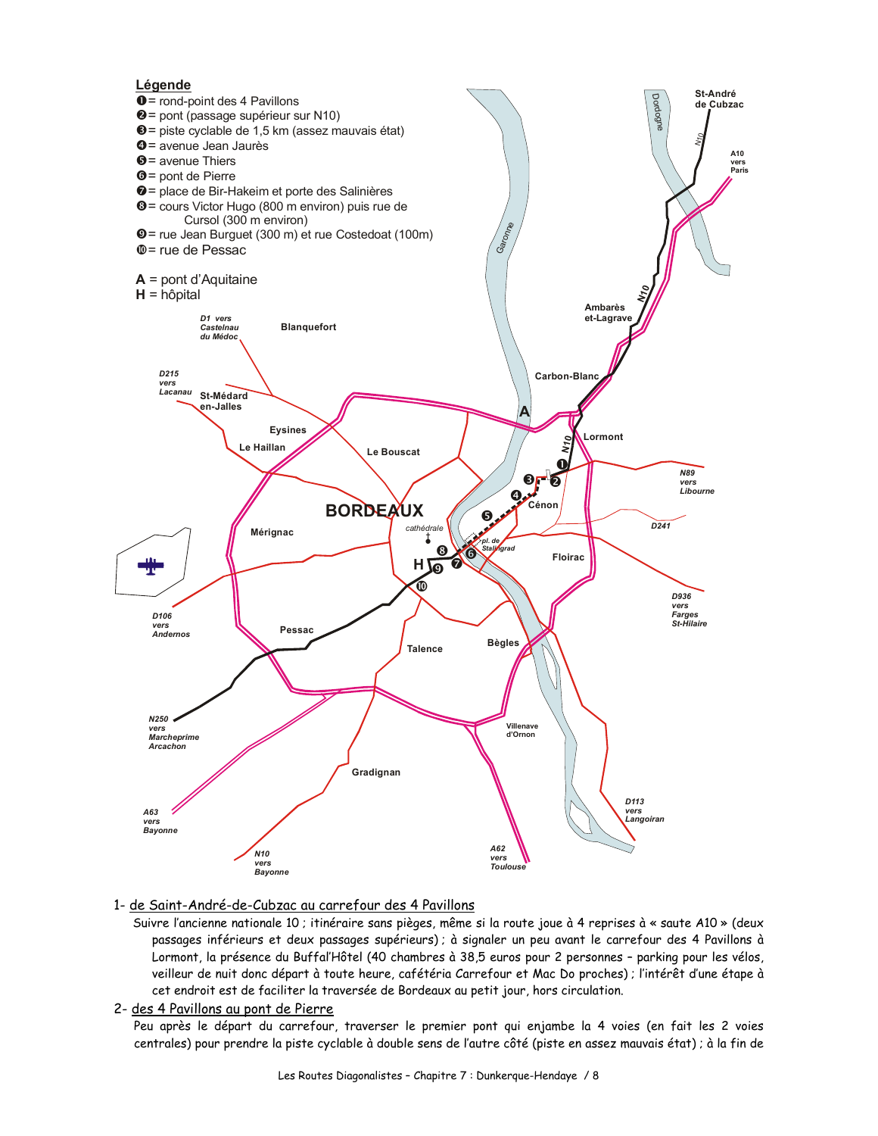

### 1- de Saint-André-de-Cubzac au carrefour des 4 Pavillons

Suivre l'ancienne nationale 10 ; itinéraire sans pièges, même si la route joue à 4 reprises à « saute A10 » (deux passages inférieurs et deux passages supérieurs); à signaler un peu avant le carrefour des 4 Pavillons à Lormont, la présence du Buffal'Hôtel (40 chambres à 38,5 euros pour 2 personnes - parking pour les vélos, veilleur de nuit donc départ à toute heure, cafétéria Carrefour et Mac Do proches); l'intérêt d'une étape à cet endroit est de faciliter la traversée de Bordeaux au petit jour, hors circulation.

2- des 4 Pavillons au pont de Pierre

Peu après le départ du carrefour, traverser le premier pont qui enjambe la 4 voies (en fait les 2 voies centrales) pour prendre la piste cyclable à double sens de l'autre côté (piste en assez mauvais état) ; à la fin de